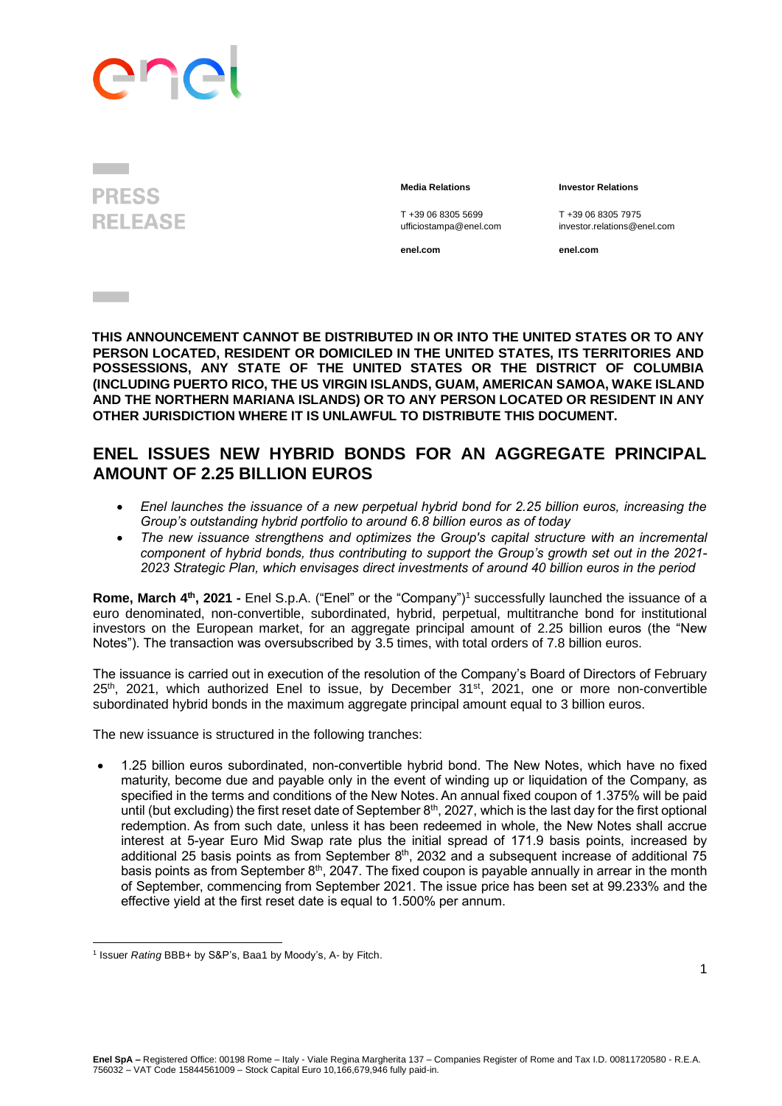## enc

**PRESS RELEASE** 

**Contract Contract** 

**Media Relations Investor Relations**

T +39 06 8305 5699 T +39 06 8305 7975 ufficiostampa@enel.com investor.relations@enel.com

**enel.com enel.com**

**THIS ANNOUNCEMENT CANNOT BE DISTRIBUTED IN OR INTO THE UNITED STATES OR TO ANY PERSON LOCATED, RESIDENT OR DOMICILED IN THE UNITED STATES, ITS TERRITORIES AND POSSESSIONS, ANY STATE OF THE UNITED STATES OR THE DISTRICT OF COLUMBIA (INCLUDING PUERTO RICO, THE US VIRGIN ISLANDS, GUAM, AMERICAN SAMOA, WAKE ISLAND AND THE NORTHERN MARIANA ISLANDS) OR TO ANY PERSON LOCATED OR RESIDENT IN ANY OTHER JURISDICTION WHERE IT IS UNLAWFUL TO DISTRIBUTE THIS DOCUMENT.**

## **ENEL ISSUES NEW HYBRID BONDS FOR AN AGGREGATE PRINCIPAL AMOUNT OF 2.25 BILLION EUROS**

- *Enel launches the issuance of a new perpetual hybrid bond for 2.25 billion euros, increasing the Group's outstanding hybrid portfolio to around 6.8 billion euros as of today*
- *The new issuance strengthens and optimizes the Group's capital structure with an incremental component of hybrid bonds, thus contributing to support the Group's growth set out in the 2021- 2023 Strategic Plan, which envisages direct investments of around 40 billion euros in the period*

**Rome, March 4<sup>th</sup>, 2021 - Enel S.p.A. ("Enel" or the "Company")<sup>1</sup> successfully launched the issuance of a** euro denominated, non-convertible, subordinated, hybrid, perpetual, multitranche bond for institutional investors on the European market, for an aggregate principal amount of 2.25 billion euros (the "New Notes"). The transaction was oversubscribed by 3.5 times, with total orders of 7.8 billion euros.

The issuance is carried out in execution of the resolution of the Company's Board of Directors of February 25<sup>th</sup>, 2021, which authorized Enel to issue, by December 31<sup>st</sup>, 2021, one or more non-convertible subordinated hybrid bonds in the maximum aggregate principal amount equal to 3 billion euros.

The new issuance is structured in the following tranches:

• 1.25 billion euros subordinated, non-convertible hybrid bond. The New Notes, which have no fixed maturity, become due and payable only in the event of winding up or liquidation of the Company, as specified in the terms and conditions of the New Notes. An annual fixed coupon of 1.375% will be paid until (but excluding) the first reset date of September 8<sup>th</sup>, 2027, which is the last day for the first optional redemption. As from such date, unless it has been redeemed in whole, the New Notes shall accrue interest at 5-year Euro Mid Swap rate plus the initial spread of 171.9 basis points, increased by additional 25 basis points as from September  $8<sup>th</sup>$ , 2032 and a subsequent increase of additional 75 basis points as from September 8<sup>th</sup>, 2047. The fixed coupon is payable annually in arrear in the month of September, commencing from September 2021. The issue price has been set at 99.233% and the effective yield at the first reset date is equal to 1.500% per annum.

<sup>&</sup>lt;sup>1</sup> Issuer *Rating* BBB+ by S&P's, Baa1 by Moody's, A- by Fitch.